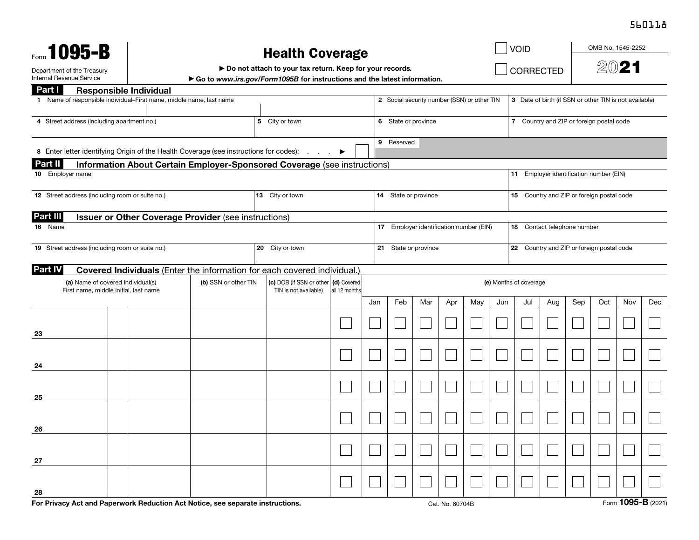## 560118

| Form 1095-B                                                                                |                  |  |                                                                             |  |                       |                                                                                                              |                                                                                                                  |                        |     |                                                                        |                                                                                                  |                                          |                                             |      |                  | OMB No. 1545-2252 |     |                                                                                      |  |  |  |  |
|--------------------------------------------------------------------------------------------|------------------|--|-----------------------------------------------------------------------------|--|-----------------------|--------------------------------------------------------------------------------------------------------------|------------------------------------------------------------------------------------------------------------------|------------------------|-----|------------------------------------------------------------------------|--------------------------------------------------------------------------------------------------|------------------------------------------|---------------------------------------------|------|------------------|-------------------|-----|--------------------------------------------------------------------------------------|--|--|--|--|
| Department of the Treasury<br>Internal Revenue Service                                     |                  |  |                                                                             |  |                       |                                                                                                              |                                                                                                                  |                        |     |                                                                        |                                                                                                  |                                          |                                             |      |                  | 2021              |     |                                                                                      |  |  |  |  |
|                                                                                            |                  |  |                                                                             |  |                       |                                                                                                              |                                                                                                                  |                        |     |                                                                        |                                                                                                  |                                          |                                             |      |                  |                   |     |                                                                                      |  |  |  |  |
| Part I<br>1 Name of responsible individual–First name, middle name, last name              |                  |  |                                                                             |  |                       |                                                                                                              |                                                                                                                  |                        |     |                                                                        | 3 Date of birth (if SSN or other TIN is not available)                                           |                                          |                                             |      |                  |                   |     |                                                                                      |  |  |  |  |
|                                                                                            |                  |  |                                                                             |  |                       | 6 State or province                                                                                          |                                                                                                                  |                        |     |                                                                        |                                                                                                  | 7 Country and ZIP or foreign postal code |                                             |      |                  |                   |     |                                                                                      |  |  |  |  |
| 8 Enter letter identifying Origin of the Health Coverage (see instructions for codes):     |                  |  |                                                                             |  |                       |                                                                                                              |                                                                                                                  |                        |     |                                                                        | 9 Reserved                                                                                       |                                          |                                             |      |                  |                   |     |                                                                                      |  |  |  |  |
| <b>Part II</b><br>Information About Certain Employer-Sponsored Coverage (see instructions) |                  |  |                                                                             |  |                       |                                                                                                              |                                                                                                                  |                        |     |                                                                        |                                                                                                  |                                          |                                             |      |                  |                   |     |                                                                                      |  |  |  |  |
|                                                                                            |                  |  |                                                                             |  |                       |                                                                                                              |                                                                                                                  |                        |     |                                                                        |                                                                                                  |                                          |                                             |      |                  |                   |     |                                                                                      |  |  |  |  |
| 12 Street address (including room or suite no.)                                            |                  |  |                                                                             |  |                       |                                                                                                              |                                                                                                                  |                        |     |                                                                        |                                                                                                  |                                          |                                             |      |                  |                   |     |                                                                                      |  |  |  |  |
| Part III                                                                                   |                  |  |                                                                             |  |                       |                                                                                                              |                                                                                                                  |                        |     |                                                                        |                                                                                                  |                                          |                                             |      |                  |                   |     |                                                                                      |  |  |  |  |
| 16 Name                                                                                    |                  |  |                                                                             |  |                       |                                                                                                              |                                                                                                                  |                        |     | 17 Employer identification number (EIN)<br>18 Contact telephone number |                                                                                                  |                                          |                                             |      |                  |                   |     |                                                                                      |  |  |  |  |
| 19 Street address (including room or suite no.)                                            |                  |  |                                                                             |  |                       | 21 State or province                                                                                         |                                                                                                                  |                        |     |                                                                        |                                                                                                  |                                          | 22 Country and ZIP or foreign postal code   |      |                  |                   |     |                                                                                      |  |  |  |  |
|                                                                                            |                  |  |                                                                             |  |                       |                                                                                                              |                                                                                                                  |                        |     |                                                                        |                                                                                                  |                                          |                                             |      |                  |                   |     |                                                                                      |  |  |  |  |
| (a) Name of covered individual(s)<br>First name, middle initial, last name                 |                  |  |                                                                             |  | TIN is not available) | all 12 months                                                                                                |                                                                                                                  | (e) Months of coverage |     |                                                                        |                                                                                                  |                                          |                                             |      |                  |                   |     |                                                                                      |  |  |  |  |
|                                                                                            |                  |  |                                                                             |  |                       |                                                                                                              | Jan                                                                                                              | Feb                    | Mar | Apr                                                                    | May                                                                                              | Jun                                      | Jul                                         | Aug  | Sep              | Oct               | Nov | Dec                                                                                  |  |  |  |  |
|                                                                                            |                  |  |                                                                             |  |                       |                                                                                                              |                                                                                                                  |                        |     |                                                                        |                                                                                                  |                                          |                                             |      |                  |                   |     |                                                                                      |  |  |  |  |
|                                                                                            |                  |  |                                                                             |  |                       |                                                                                                              |                                                                                                                  |                        |     |                                                                        |                                                                                                  |                                          |                                             |      |                  |                   |     |                                                                                      |  |  |  |  |
|                                                                                            |                  |  |                                                                             |  |                       |                                                                                                              |                                                                                                                  |                        |     |                                                                        |                                                                                                  |                                          |                                             |      |                  |                   |     |                                                                                      |  |  |  |  |
|                                                                                            |                  |  |                                                                             |  |                       |                                                                                                              |                                                                                                                  |                        |     |                                                                        |                                                                                                  |                                          |                                             |      |                  |                   |     |                                                                                      |  |  |  |  |
|                                                                                            |                  |  |                                                                             |  |                       |                                                                                                              |                                                                                                                  |                        |     |                                                                        |                                                                                                  |                                          |                                             |      |                  |                   |     |                                                                                      |  |  |  |  |
|                                                                                            |                  |  |                                                                             |  |                       |                                                                                                              |                                                                                                                  |                        |     |                                                                        |                                                                                                  |                                          |                                             |      |                  |                   |     |                                                                                      |  |  |  |  |
|                                                                                            |                  |  |                                                                             |  |                       |                                                                                                              |                                                                                                                  |                        |     |                                                                        |                                                                                                  |                                          |                                             |      |                  |                   |     |                                                                                      |  |  |  |  |
|                                                                                            |                  |  |                                                                             |  |                       |                                                                                                              |                                                                                                                  |                        |     |                                                                        |                                                                                                  |                                          |                                             |      |                  |                   |     |                                                                                      |  |  |  |  |
|                                                                                            | 10 Employer name |  | <b>Responsible Individual</b><br>4 Street address (including apartment no.) |  | (b) SSN or other TIN  | 5 City or town<br>13 City or town<br>Issuer or Other Coverage Provider (see instructions)<br>20 City or town | Covered Individuals (Enter the information for each covered individual.)<br>(c) DOB (if SSN or other (d) Covered | <b>Health Coverage</b> |     | Do not attach to your tax return. Keep for your records.               | Go to www.irs.gov/Form1095B for instructions and the latest information.<br>14 State or province |                                          | 2 Social security number (SSN) or other TIN | VOID | <b>CORRECTED</b> |                   |     | 11 Employer identification number (EIN)<br>15 Country and ZIP or foreign postal code |  |  |  |  |

For Privacy Act and Paperwork Reduction Act Notice, see separate instructions. Cat. No. 60704B Form 1095-B (2021)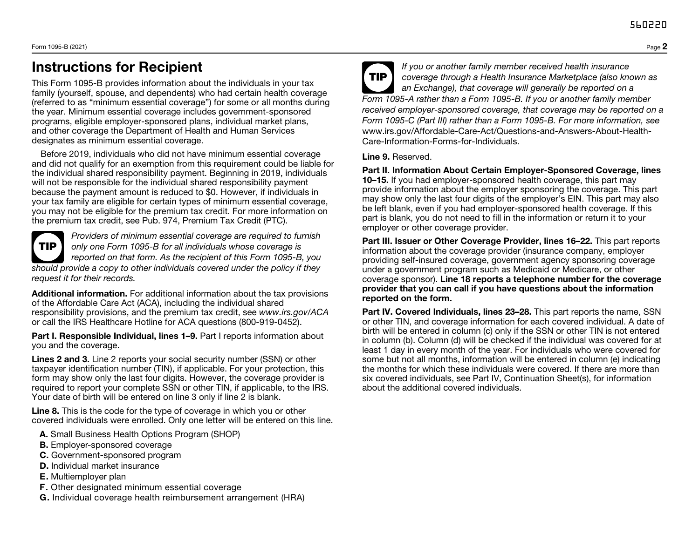## Instructions for Recipient

This Form 1095-B provides information about the individuals in your tax family (yourself, spouse, and dependents) who had certain health coverage (referred to as "minimum essential coverage") for some or all months during the year. Minimum essential coverage includes government-sponsored programs, eligible employer-sponsored plans, individual market plans, and other coverage the Department of Health and Human Services designates as minimum essential coverage.

Before 2019, individuals who did not have minimum essential coverage and did not qualify for an exemption from this requirement could be liable for the individual shared responsibility payment. Beginning in 2019, individuals will not be responsible for the individual shared responsibility payment because the payment amount is reduced to \$0. However, if individuals in your tax family are eligible for certain types of minimum essential coverage, you may not be eligible for the premium tax credit. For more information on the premium tax credit, see Pub. 974, Premium Tax Credit (PTC).

| ΊP |
|----|
|    |

*Providers of minimum essential coverage are required to furnish only one Form 1095-B for all individuals whose coverage is reported on that form. As the recipient of this Form 1095-B, you should provide a copy to other individuals covered under the policy if they request it for their records.*

Additional information. For additional information about the tax provisions of the Affordable Care Act (ACA), including the individual shared responsibility provisions, and the premium tax credit, see *www.irs.gov/ACA* or call the IRS Healthcare Hotline for ACA questions (800-919-0452).

Part I. Responsible Individual, lines 1-9. Part I reports information about you and the coverage.

Lines 2 and 3. Line 2 reports your social security number (SSN) or other taxpayer identification number (TIN), if applicable. For your protection, this form may show only the last four digits. However, the coverage provider is required to report your complete SSN or other TIN, if applicable, to the IRS. Your date of birth will be entered on line 3 only if line 2 is blank.

Line 8. This is the code for the type of coverage in which you or other covered individuals were enrolled. Only one letter will be entered on this line.

- A. Small Business Health Options Program (SHOP)
- B. Employer-sponsored coverage
- C. Government-sponsored program
- D. Individual market insurance
- E. Multiemployer plan
- F. Other designated minimum essential coverage
- G. Individual coverage health reimbursement arrangement (HRA)



TIP *If you or another family member received health insurance coverage through a Health Insurance Marketplace (also known as an Exchange), that coverage will generally be reported on a Form 1095-A rather than a Form 1095-B. If you or another family member received employer-sponsored coverage, that coverage may be reported on a Form 1095-C (Part III) rather than a Form 1095-B. For more information, see*  www.irs.gov/Affordable-Care-Act/Questions-and-Answers-About-Health-Care-Information-Forms-for-Individuals.

Line 9. Reserved.

Part II. Information About Certain Employer-Sponsored Coverage, lines 10–15. If you had employer-sponsored health coverage, this part may provide information about the employer sponsoring the coverage. This part may show only the last four digits of the employer's EIN. This part may also be left blank, even if you had employer-sponsored health coverage. If this part is blank, you do not need to fill in the information or return it to your employer or other coverage provider.

Part III. Issuer or Other Coverage Provider, lines 16–22. This part reports information about the coverage provider (insurance company, employer providing self-insured coverage, government agency sponsoring coverage under a government program such as Medicaid or Medicare, or other coverage sponsor). Line 18 reports a telephone number for the coverage provider that you can call if you have questions about the information reported on the form.

Part IV. Covered Individuals, lines 23–28. This part reports the name, SSN or other TIN, and coverage information for each covered individual. A date of birth will be entered in column (c) only if the SSN or other TIN is not entered in column (b). Column (d) will be checked if the individual was covered for at least 1 day in every month of the year. For individuals who were covered for some but not all months, information will be entered in column (e) indicating the months for which these individuals were covered. If there are more than six covered individuals, see Part IV, Continuation Sheet(s), for information about the additional covered individuals.